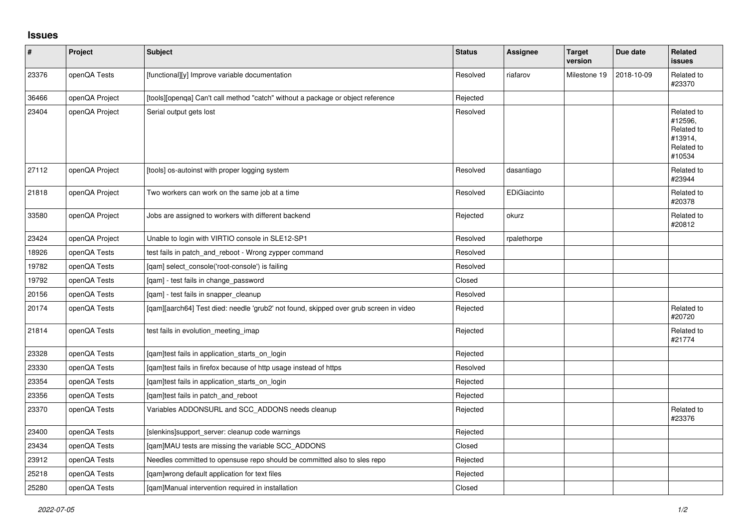## **Issues**

| $\pmb{\#}$ | Project        | Subject                                                                               | <b>Status</b> | Assignee    | <b>Target</b><br>version | Due date   | <b>Related</b><br><b>issues</b>                                        |
|------------|----------------|---------------------------------------------------------------------------------------|---------------|-------------|--------------------------|------------|------------------------------------------------------------------------|
| 23376      | openQA Tests   | [functional][y] Improve variable documentation                                        | Resolved      | riafarov    | Milestone 19             | 2018-10-09 | Related to<br>#23370                                                   |
| 36466      | openQA Project | [tools][openqa] Can't call method "catch" without a package or object reference       | Rejected      |             |                          |            |                                                                        |
| 23404      | openQA Project | Serial output gets lost                                                               | Resolved      |             |                          |            | Related to<br>#12596,<br>Related to<br>#13914,<br>Related to<br>#10534 |
| 27112      | openQA Project | [tools] os-autoinst with proper logging system                                        | Resolved      | dasantiago  |                          |            | Related to<br>#23944                                                   |
| 21818      | openQA Project | Two workers can work on the same job at a time                                        | Resolved      | EDiGiacinto |                          |            | Related to<br>#20378                                                   |
| 33580      | openQA Project | Jobs are assigned to workers with different backend                                   | Rejected      | okurz       |                          |            | Related to<br>#20812                                                   |
| 23424      | openQA Project | Unable to login with VIRTIO console in SLE12-SP1                                      | Resolved      | rpalethorpe |                          |            |                                                                        |
| 18926      | openQA Tests   | test fails in patch and reboot - Wrong zypper command                                 | Resolved      |             |                          |            |                                                                        |
| 19782      | openQA Tests   | [qam] select_console('root-console') is failing                                       | Resolved      |             |                          |            |                                                                        |
| 19792      | openQA Tests   | [gam] - test fails in change password                                                 | Closed        |             |                          |            |                                                                        |
| 20156      | openQA Tests   | [gam] - test fails in snapper cleanup                                                 | Resolved      |             |                          |            |                                                                        |
| 20174      | openQA Tests   | [qam][aarch64] Test died: needle 'grub2' not found, skipped over grub screen in video | Rejected      |             |                          |            | Related to<br>#20720                                                   |
| 21814      | openQA Tests   | test fails in evolution meeting imap                                                  | Rejected      |             |                          |            | Related to<br>#21774                                                   |
| 23328      | openQA Tests   | [qam]test fails in application_starts_on_login                                        | Rejected      |             |                          |            |                                                                        |
| 23330      | openQA Tests   | [gam]test fails in firefox because of http usage instead of https                     | Resolved      |             |                          |            |                                                                        |
| 23354      | openQA Tests   | [qam]test fails in application_starts_on_login                                        | Rejected      |             |                          |            |                                                                        |
| 23356      | openQA Tests   | [qam]test fails in patch_and_reboot                                                   | Rejected      |             |                          |            |                                                                        |
| 23370      | openQA Tests   | Variables ADDONSURL and SCC_ADDONS needs cleanup                                      | Rejected      |             |                          |            | Related to<br>#23376                                                   |
| 23400      | openQA Tests   | [slenkins]support_server: cleanup code warnings                                       | Rejected      |             |                          |            |                                                                        |
| 23434      | openQA Tests   | [qam]MAU tests are missing the variable SCC_ADDONS                                    | Closed        |             |                          |            |                                                                        |
| 23912      | openQA Tests   | Needles committed to opensuse repo should be committed also to sles repo              | Rejected      |             |                          |            |                                                                        |
| 25218      | openQA Tests   | [qam]wrong default application for text files                                         | Rejected      |             |                          |            |                                                                        |
| 25280      | openQA Tests   | [gam]Manual intervention required in installation                                     | Closed        |             |                          |            |                                                                        |